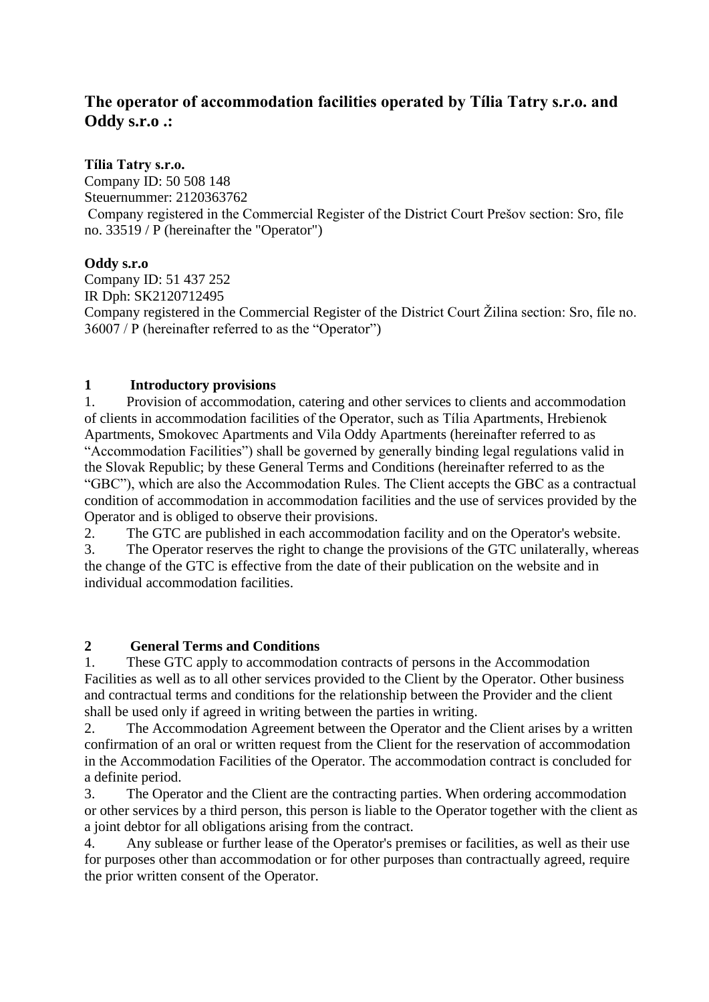# **The operator of accommodation facilities operated by Tília Tatry s.r.o. and Oddy s.r.o .:**

#### **Tília Tatry s.r.o.**

Company ID: 50 508 148 Steuernummer: 2120363762 Company registered in the Commercial Register of the District Court Prešov section: Sro, file no. 33519 / P (hereinafter the "Operator")

#### **Oddy s.r.o**

Company ID: 51 437 252 IR Dph: SK2120712495 Company registered in the Commercial Register of the District Court Žilina section: Sro, file no. 36007 / P (hereinafter referred to as the "Operator")

#### **1 Introductory provisions**

1. Provision of accommodation, catering and other services to clients and accommodation of clients in accommodation facilities of the Operator, such as Tília Apartments, Hrebienok Apartments, Smokovec Apartments and Vila Oddy Apartments (hereinafter referred to as "Accommodation Facilities") shall be governed by generally binding legal regulations valid in the Slovak Republic; by these General Terms and Conditions (hereinafter referred to as the "GBC"), which are also the Accommodation Rules. The Client accepts the GBC as a contractual condition of accommodation in accommodation facilities and the use of services provided by the Operator and is obliged to observe their provisions.

2. The GTC are published in each accommodation facility and on the Operator's website.

3. The Operator reserves the right to change the provisions of the GTC unilaterally, whereas the change of the GTC is effective from the date of their publication on the website and in individual accommodation facilities.

## **2 General Terms and Conditions**

1. These GTC apply to accommodation contracts of persons in the Accommodation Facilities as well as to all other services provided to the Client by the Operator. Other business and contractual terms and conditions for the relationship between the Provider and the client shall be used only if agreed in writing between the parties in writing.

2. The Accommodation Agreement between the Operator and the Client arises by a written confirmation of an oral or written request from the Client for the reservation of accommodation in the Accommodation Facilities of the Operator. The accommodation contract is concluded for a definite period.

3. The Operator and the Client are the contracting parties. When ordering accommodation or other services by a third person, this person is liable to the Operator together with the client as a joint debtor for all obligations arising from the contract.

4. Any sublease or further lease of the Operator's premises or facilities, as well as their use for purposes other than accommodation or for other purposes than contractually agreed, require the prior written consent of the Operator.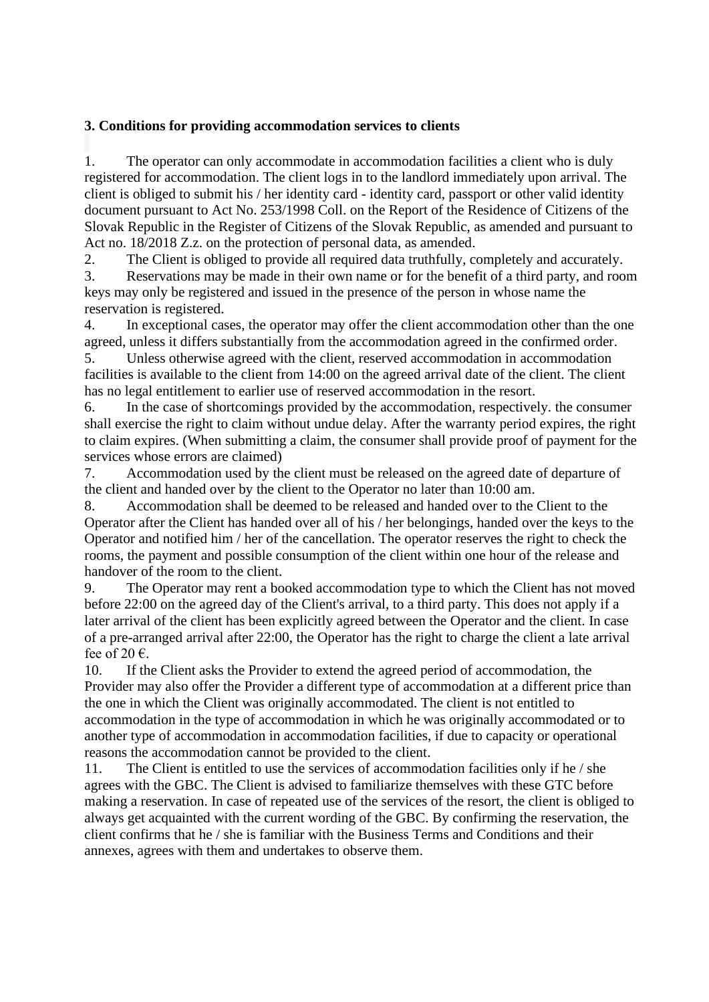#### **3. Conditions for providing accommodation services to clients**

1. The operator can only accommodate in accommodation facilities a client who is duly registered for accommodation. The client logs in to the landlord immediately upon arrival. The client is obliged to submit his / her identity card - identity card, passport or other valid identity document pursuant to Act No. 253/1998 Coll. on the Report of the Residence of Citizens of the Slovak Republic in the Register of Citizens of the Slovak Republic, as amended and pursuant to Act no. 18/2018 Z.z. on the protection of personal data, as amended.

2. The Client is obliged to provide all required data truthfully, completely and accurately.

3. Reservations may be made in their own name or for the benefit of a third party, and room keys may only be registered and issued in the presence of the person in whose name the reservation is registered.

4. In exceptional cases, the operator may offer the client accommodation other than the one agreed, unless it differs substantially from the accommodation agreed in the confirmed order.

5. Unless otherwise agreed with the client, reserved accommodation in accommodation facilities is available to the client from 14:00 on the agreed arrival date of the client. The client has no legal entitlement to earlier use of reserved accommodation in the resort.

6. In the case of shortcomings provided by the accommodation, respectively. the consumer shall exercise the right to claim without undue delay. After the warranty period expires, the right to claim expires. (When submitting a claim, the consumer shall provide proof of payment for the services whose errors are claimed)

7. Accommodation used by the client must be released on the agreed date of departure of the client and handed over by the client to the Operator no later than 10:00 am.

8. Accommodation shall be deemed to be released and handed over to the Client to the Operator after the Client has handed over all of his / her belongings, handed over the keys to the Operator and notified him / her of the cancellation. The operator reserves the right to check the rooms, the payment and possible consumption of the client within one hour of the release and handover of the room to the client.

9. The Operator may rent a booked accommodation type to which the Client has not moved before 22:00 on the agreed day of the Client's arrival, to a third party. This does not apply if a later arrival of the client has been explicitly agreed between the Operator and the client. In case of a pre-arranged arrival after 22:00, the Operator has the right to charge the client a late arrival fee of 20 $\epsilon$ .

10. If the Client asks the Provider to extend the agreed period of accommodation, the Provider may also offer the Provider a different type of accommodation at a different price than the one in which the Client was originally accommodated. The client is not entitled to accommodation in the type of accommodation in which he was originally accommodated or to another type of accommodation in accommodation facilities, if due to capacity or operational reasons the accommodation cannot be provided to the client.

11. The Client is entitled to use the services of accommodation facilities only if he / she agrees with the GBC. The Client is advised to familiarize themselves with these GTC before making a reservation. In case of repeated use of the services of the resort, the client is obliged to always get acquainted with the current wording of the GBC. By confirming the reservation, the client confirms that he / she is familiar with the Business Terms and Conditions and their annexes, agrees with them and undertakes to observe them.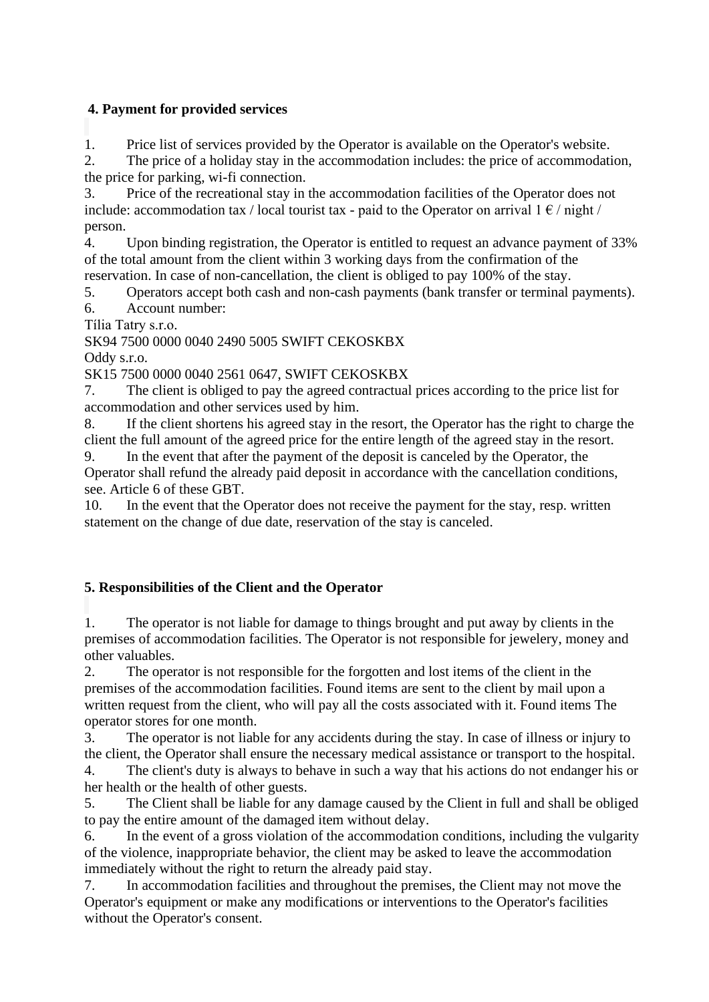#### **4. Payment for provided services**

1. Price list of services provided by the Operator is available on the Operator's website.

2. The price of a holiday stay in the accommodation includes: the price of accommodation, the price for parking, wi-fi connection.

3. Price of the recreational stay in the accommodation facilities of the Operator does not include: accommodation tax / local tourist tax - paid to the Operator on arrival  $1 \in \ell$  night / person.

4. Upon binding registration, the Operator is entitled to request an advance payment of 33% of the total amount from the client within 3 working days from the confirmation of the reservation. In case of non-cancellation, the client is obliged to pay 100% of the stay.

5. Operators accept both cash and non-cash payments (bank transfer or terminal payments).

6. Account number:

Tília Tatry s.r.o.

SK94 7500 0000 0040 2490 5005 SWIFT CEKOSKBX

Oddy s.r.o.

SK15 7500 0000 0040 2561 0647, SWIFT CEKOSKBX

7. The client is obliged to pay the agreed contractual prices according to the price list for accommodation and other services used by him.

8. If the client shortens his agreed stay in the resort, the Operator has the right to charge the client the full amount of the agreed price for the entire length of the agreed stay in the resort.

9. In the event that after the payment of the deposit is canceled by the Operator, the Operator shall refund the already paid deposit in accordance with the cancellation conditions, see. Article 6 of these GBT.

10. In the event that the Operator does not receive the payment for the stay, resp. written statement on the change of due date, reservation of the stay is canceled.

## **5. Responsibilities of the Client and the Operator**

1. The operator is not liable for damage to things brought and put away by clients in the premises of accommodation facilities. The Operator is not responsible for jewelery, money and other valuables.

2. The operator is not responsible for the forgotten and lost items of the client in the premises of the accommodation facilities. Found items are sent to the client by mail upon a written request from the client, who will pay all the costs associated with it. Found items The operator stores for one month.

3. The operator is not liable for any accidents during the stay. In case of illness or injury to the client, the Operator shall ensure the necessary medical assistance or transport to the hospital.

4. The client's duty is always to behave in such a way that his actions do not endanger his or her health or the health of other guests.

5. The Client shall be liable for any damage caused by the Client in full and shall be obliged to pay the entire amount of the damaged item without delay.

6. In the event of a gross violation of the accommodation conditions, including the vulgarity of the violence, inappropriate behavior, the client may be asked to leave the accommodation immediately without the right to return the already paid stay.

7. In accommodation facilities and throughout the premises, the Client may not move the Operator's equipment or make any modifications or interventions to the Operator's facilities without the Operator's consent.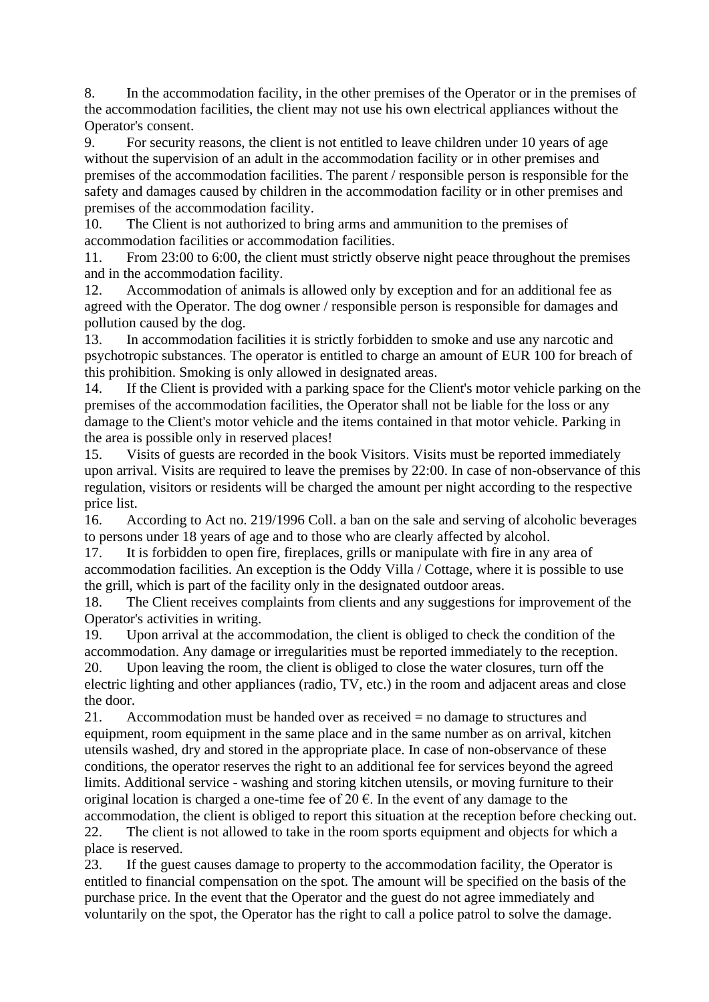8. In the accommodation facility, in the other premises of the Operator or in the premises of the accommodation facilities, the client may not use his own electrical appliances without the Operator's consent.

9. For security reasons, the client is not entitled to leave children under 10 years of age without the supervision of an adult in the accommodation facility or in other premises and premises of the accommodation facilities. The parent / responsible person is responsible for the safety and damages caused by children in the accommodation facility or in other premises and premises of the accommodation facility.

10. The Client is not authorized to bring arms and ammunition to the premises of accommodation facilities or accommodation facilities.

11. From 23:00 to 6:00, the client must strictly observe night peace throughout the premises and in the accommodation facility.

12. Accommodation of animals is allowed only by exception and for an additional fee as agreed with the Operator. The dog owner / responsible person is responsible for damages and pollution caused by the dog.

13. In accommodation facilities it is strictly forbidden to smoke and use any narcotic and psychotropic substances. The operator is entitled to charge an amount of EUR 100 for breach of this prohibition. Smoking is only allowed in designated areas.

14. If the Client is provided with a parking space for the Client's motor vehicle parking on the premises of the accommodation facilities, the Operator shall not be liable for the loss or any damage to the Client's motor vehicle and the items contained in that motor vehicle. Parking in the area is possible only in reserved places!

15. Visits of guests are recorded in the book Visitors. Visits must be reported immediately upon arrival. Visits are required to leave the premises by 22:00. In case of non-observance of this regulation, visitors or residents will be charged the amount per night according to the respective price list.

16. According to Act no. 219/1996 Coll. a ban on the sale and serving of alcoholic beverages to persons under 18 years of age and to those who are clearly affected by alcohol.

17. It is forbidden to open fire, fireplaces, grills or manipulate with fire in any area of accommodation facilities. An exception is the Oddy Villa / Cottage, where it is possible to use the grill, which is part of the facility only in the designated outdoor areas.

18. The Client receives complaints from clients and any suggestions for improvement of the Operator's activities in writing.

19. Upon arrival at the accommodation, the client is obliged to check the condition of the accommodation. Any damage or irregularities must be reported immediately to the reception. 20. Upon leaving the room, the client is obliged to close the water closures, turn off the electric lighting and other appliances (radio, TV, etc.) in the room and adjacent areas and close the door.

21. Accommodation must be handed over as received = no damage to structures and equipment, room equipment in the same place and in the same number as on arrival, kitchen utensils washed, dry and stored in the appropriate place. In case of non-observance of these conditions, the operator reserves the right to an additional fee for services beyond the agreed limits. Additional service - washing and storing kitchen utensils, or moving furniture to their original location is charged a one-time fee of 20  $\epsilon$ . In the event of any damage to the

accommodation, the client is obliged to report this situation at the reception before checking out. 22. The client is not allowed to take in the room sports equipment and objects for which a place is reserved.

23. If the guest causes damage to property to the accommodation facility, the Operator is entitled to financial compensation on the spot. The amount will be specified on the basis of the purchase price. In the event that the Operator and the guest do not agree immediately and voluntarily on the spot, the Operator has the right to call a police patrol to solve the damage.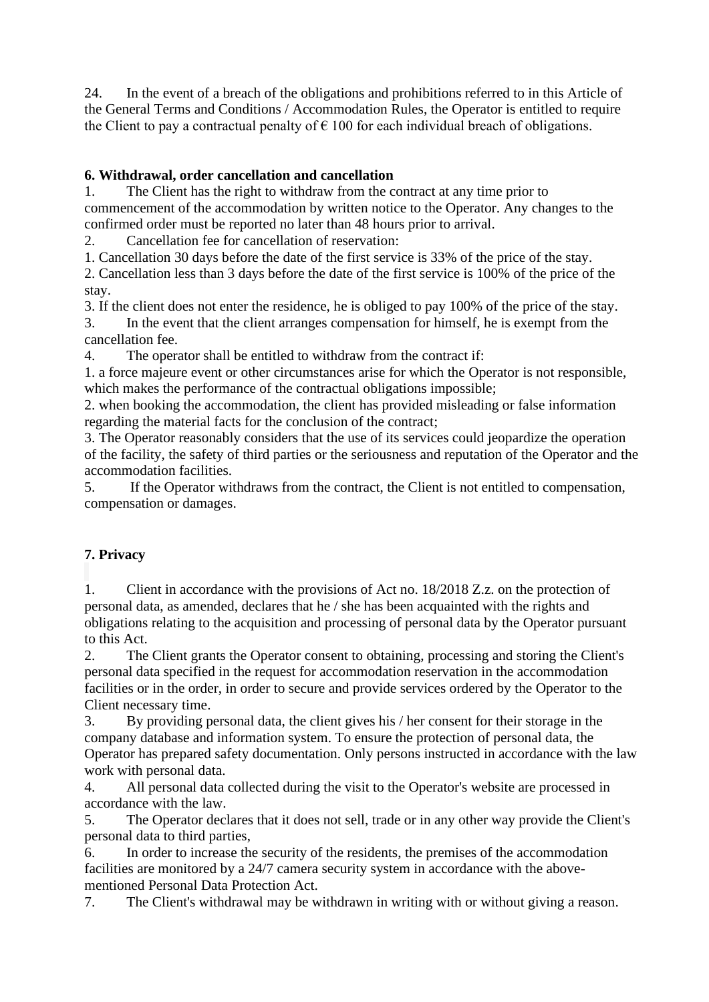24. In the event of a breach of the obligations and prohibitions referred to in this Article of the General Terms and Conditions / Accommodation Rules, the Operator is entitled to require the Client to pay a contractual penalty of  $\epsilon$  100 for each individual breach of obligations.

## **6. Withdrawal, order cancellation and cancellation**

1. The Client has the right to withdraw from the contract at any time prior to commencement of the accommodation by written notice to the Operator. Any changes to the confirmed order must be reported no later than 48 hours prior to arrival.

2. Cancellation fee for cancellation of reservation:

1. Cancellation 30 days before the date of the first service is 33% of the price of the stay.

2. Cancellation less than 3 days before the date of the first service is 100% of the price of the stay.

3. If the client does not enter the residence, he is obliged to pay 100% of the price of the stay.

3. In the event that the client arranges compensation for himself, he is exempt from the cancellation fee.

4. The operator shall be entitled to withdraw from the contract if:

1. a force majeure event or other circumstances arise for which the Operator is not responsible, which makes the performance of the contractual obligations impossible;

2. when booking the accommodation, the client has provided misleading or false information regarding the material facts for the conclusion of the contract;

3. The Operator reasonably considers that the use of its services could jeopardize the operation of the facility, the safety of third parties or the seriousness and reputation of the Operator and the accommodation facilities.

5. If the Operator withdraws from the contract, the Client is not entitled to compensation, compensation or damages.

## **7. Privacy**

1. Client in accordance with the provisions of Act no. 18/2018 Z.z. on the protection of personal data, as amended, declares that he / she has been acquainted with the rights and obligations relating to the acquisition and processing of personal data by the Operator pursuant to this Act.

2. The Client grants the Operator consent to obtaining, processing and storing the Client's personal data specified in the request for accommodation reservation in the accommodation facilities or in the order, in order to secure and provide services ordered by the Operator to the Client necessary time.

3. By providing personal data, the client gives his / her consent for their storage in the company database and information system. To ensure the protection of personal data, the Operator has prepared safety documentation. Only persons instructed in accordance with the law work with personal data.

4. All personal data collected during the visit to the Operator's website are processed in accordance with the law.

5. The Operator declares that it does not sell, trade or in any other way provide the Client's personal data to third parties,

6. In order to increase the security of the residents, the premises of the accommodation facilities are monitored by a 24/7 camera security system in accordance with the abovementioned Personal Data Protection Act.

7. The Client's withdrawal may be withdrawn in writing with or without giving a reason.